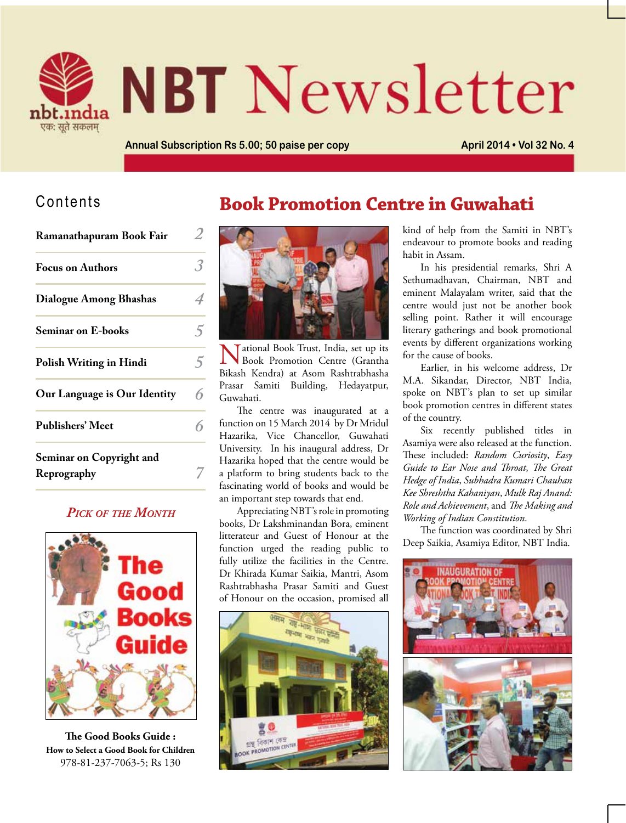

# **NBT** Newsletter

**Book Promotion Centre in Guwahati**

**Annual Subscription Rs 5.00; 50 paise per copy <b>April 2014 • Vol 32 No. 4** 

#### Contents

| Ramanathapuram Book Fair                |   |
|-----------------------------------------|---|
| <b>Focus on Authors</b>                 |   |
| <b>Dialogue Among Bhashas</b>           |   |
| <b>Seminar on E-books</b>               |   |
| Polish Writing in Hindi                 |   |
| Our Language is Our Identity            | հ |
| <b>Publishers' Meet</b>                 |   |
| Seminar on Copyright and<br>Reprography |   |

#### *Pick of the Month*



**The Good Books Guide : How to Select a Good Book for Children** 978-81-237-7063-5; Rs 130



Tational Book Trust, India, set up its Book Promotion Centre (Grantha Bikash Kendra) at Asom Rashtrabhasha Prasar Samiti Building, Hedayatpur, Guwahati.

The centre was inaugurated at a function on 15 March 2014 by Dr Mridul Hazarika, Vice Chancellor, Guwahati University. In his inaugural address, Dr Hazarika hoped that the centre would be a platform to bring students back to the fascinating world of books and would be an important step towards that end.

Appreciating NBT's role in promoting books, Dr Lakshminandan Bora, eminent litterateur and Guest of Honour at the function urged the reading public to fully utilize the facilities in the Centre. Dr Khirada Kumar Saikia, Mantri, Asom Rashtrabhasha Prasar Samiti and Guest of Honour on the occasion, promised all



kind of help from the Samiti in NBT's endeavour to promote books and reading habit in Assam.

In his presidential remarks, Shri A Sethumadhavan, Chairman, NBT and eminent Malayalam writer, said that the centre would just not be another book selling point. Rather it will encourage literary gatherings and book promotional events by different organizations working for the cause of books.

Earlier, in his welcome address, Dr M.A. Sikandar, Director, NBT India, spoke on NBT's plan to set up similar book promotion centres in different states of the country.

Six recently published titles in Asamiya were also released at the function. These included: *Random Curiosity*, *Easy Guide to Ear Nose and Throat*, *The Great Hedge of India*, *Subhadra Kumari Chauhan Kee Shreshtha Kahaniyan*, *Mulk Raj Anand: Role and Achievement*, and *The Making and Working of Indian Constitution*.

The function was coordinated by Shri Deep Saikia, Asamiya Editor, NBT India.

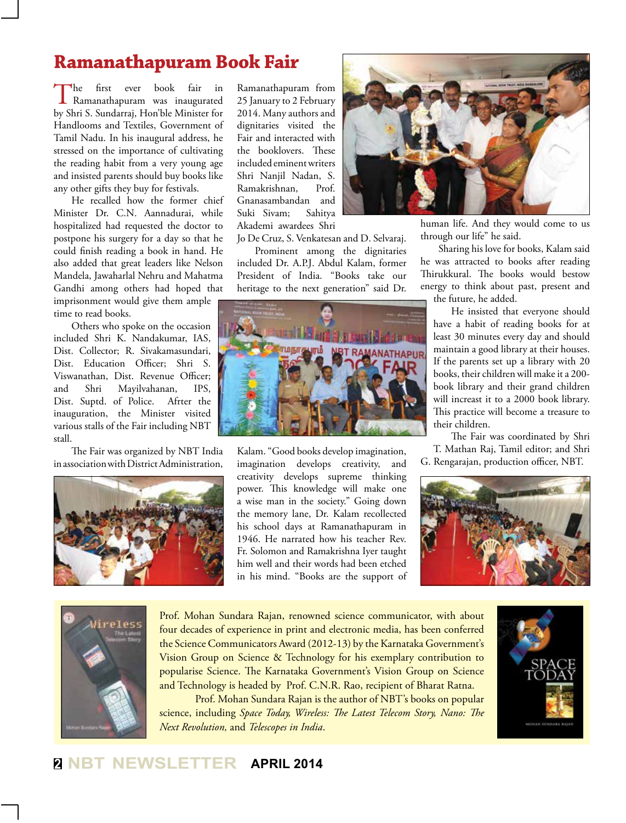# **Ramanathapuram Book Fair**

The first ever book fair in<br>Ramanathapuram was inaugurated by Shri S. Sundarraj, Hon'ble Minister for Handlooms and Textiles, Government of Tamil Nadu. In his inaugural address, he stressed on the importance of cultivating the reading habit from a very young age and insisted parents should buy books like any other gifts they buy for festivals.

He recalled how the former chief Minister Dr. C.N. Aannadurai, while hospitalized had requested the doctor to postpone his surgery for a day so that he could finish reading a book in hand. He also added that great leaders like Nelson Mandela, Jawaharlal Nehru and Mahatma Gandhi among others had hoped that imprisonment would give them ample time to read books.

Others who spoke on the occasion included Shri K. Nandakumar, IAS, Dist. Collector; R. Sivakamasundari, Dist. Education Officer; Shri S. Viswanathan, Dist. Revenue Officer; and Shri Mayilvahanan, IPS, Dist. Suptd. of Police. Afrter the inauguration, the Minister visited various stalls of the Fair including NBT stall.

The Fair was organized by NBT India in association with District Administration,



Ramanathapuram from 25 January to 2 February 2014. Many authors and dignitaries visited the Fair and interacted with the booklovers. These included eminent writers Shri Nanjil Nadan, S. Ramakrishnan, Prof. Gnanasambandan and Suki Sivam; Sahitya Akademi awardees Shri

Jo De Cruz, S. Venkatesan and D. Selvaraj. Prominent among the dignitaries included Dr. A.P.J. Abdul Kalam, former President of India. "Books take our heritage to the next generation" said Dr.



Kalam. "Good books develop imagination, imagination develops creativity, and creativity develops supreme thinking power. This knowledge will make one a wise man in the society." Going down the memory lane, Dr. Kalam recollected his school days at Ramanathapuram in 1946. He narrated how his teacher Rev. Fr. Solomon and Ramakrishna Iyer taught him well and their words had been etched in his mind. "Books are the support of



human life. And they would come to us through our life" he said.

Sharing his love for books, Kalam said he was attracted to books after reading Thirukkural. The books would bestow energy to think about past, present and the future, he added.

He insisted that everyone should have a habit of reading books for at least 30 minutes every day and should maintain a good library at their houses. If the parents set up a library with 20 books, their children will make it a 200 book library and their grand children will increast it to a 2000 book library. This practice will become a treasure to their children.

The Fair was coordinated by Shri T. Mathan Raj, Tamil editor; and Shri G. Rengarajan, production officer, NBT.





Prof. Mohan Sundara Rajan, renowned science communicator, with about four decades of experience in print and electronic media, has been conferred the Science Communicators Award (2012-13) by the Karnataka Government's Vision Group on Science & Technology for his exemplary contribution to popularise Science. The Karnataka Government's Vision Group on Science and Technology is headed by Prof. C.N.R. Rao, recipient of Bharat Ratna.

Prof. Mohan Sundara Rajan is the author of NBT's books on popular science, including *Space Today, Wireless: The Latest Telecom Story, Nano: The Next Revolution,* and *Telescopes in India*.

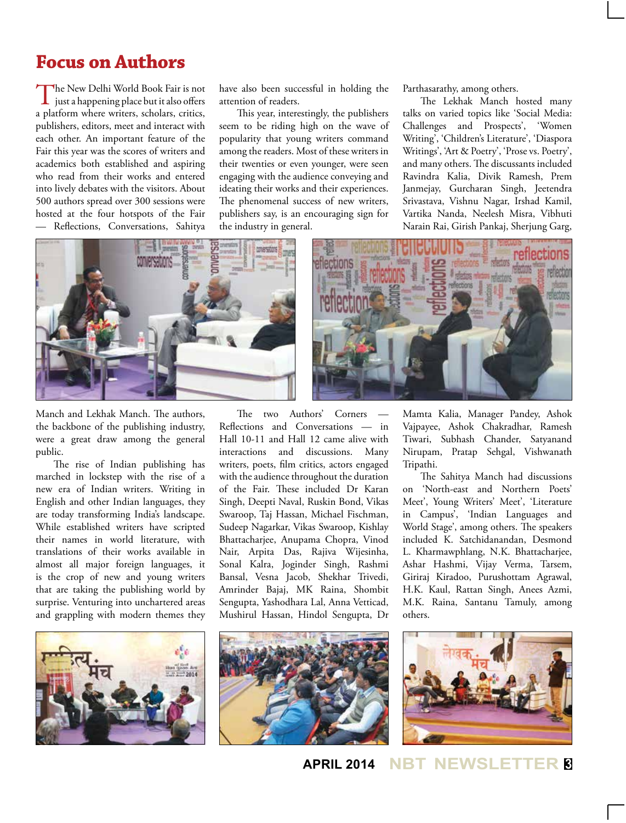## **Focus on Authors**

The New Delhi World Book Fair is not<br>just a happening place but it also offers a platform where writers, scholars, critics, publishers, editors, meet and interact with each other. An important feature of the Fair this year was the scores of writers and academics both established and aspiring who read from their works and entered into lively debates with the visitors. About 500 authors spread over 300 sessions were hosted at the four hotspots of the Fair — Reflections, Conversations, Sahitya

have also been successful in holding the attention of readers.

This year, interestingly, the publishers seem to be riding high on the wave of popularity that young writers command among the readers. Most of these writers in their twenties or even younger, were seen engaging with the audience conveying and ideating their works and their experiences. The phenomenal success of new writers, publishers say, is an encouraging sign for the industry in general.

Parthasarathy, among others.

The Lekhak Manch hosted many talks on varied topics like 'Social Media: Challenges and Prospects', 'Women Writing', 'Children's Literature', 'Diaspora Writings', 'Art & Poetry', 'Prose vs. Poetry', and many others. The discussants included Ravindra Kalia, Divik Ramesh, Prem Janmejay, Gurcharan Singh, Jeetendra Srivastava, Vishnu Nagar, Irshad Kamil, Vartika Nanda, Neelesh Misra, Vibhuti Narain Rai, Girish Pankaj, Sherjung Garg,





Manch and Lekhak Manch. The authors, the backbone of the publishing industry, were a great draw among the general public.

The rise of Indian publishing has marched in lockstep with the rise of a new era of Indian writers. Writing in English and other Indian languages, they are today transforming India's landscape. While established writers have scripted their names in world literature, with translations of their works available in almost all major foreign languages, it is the crop of new and young writers that are taking the publishing world by surprise. Venturing into unchartered areas and grappling with modern themes they

The two Authors' Corners — Reflections and Conversations — in Hall 10-11 and Hall 12 came alive with interactions and discussions. Many writers, poets, film critics, actors engaged with the audience throughout the duration of the Fair. These included Dr Karan Singh, Deepti Naval, Ruskin Bond, Vikas Swaroop, Taj Hassan, Michael Fischman, Sudeep Nagarkar, Vikas Swaroop, Kishlay Bhattacharjee, Anupama Chopra, Vinod Nair, Arpita Das, Rajiva Wijesinha, Sonal Kalra, Joginder Singh, Rashmi Bansal, Vesna Jacob, Shekhar Trivedi, Amrinder Bajaj, MK Raina, Shombit Sengupta, Yashodhara Lal, Anna Vetticad, Mushirul Hassan, Hindol Sengupta, Dr

Mamta Kalia, Manager Pandey, Ashok Vajpayee, Ashok Chakradhar, Ramesh Tiwari, Subhash Chander, Satyanand Nirupam, Pratap Sehgal, Vishwanath Tripathi.

The Sahitya Manch had discussions on 'North-east and Northern Poets' Meet', Young Writers' Meet', 'Literature in Campus', 'Indian Languages and World Stage', among others. The speakers included K. Satchidanandan, Desmond L. Kharmawphlang, N.K. Bhattacharjee, Ashar Hashmi, Vijay Verma, Tarsem, Giriraj Kiradoo, Purushottam Agrawal, H.K. Kaul, Rattan Singh, Anees Azmi, M.K. Raina, Santanu Tamuly, among others.







**3 APRIL 2014 NBT NEWSLE**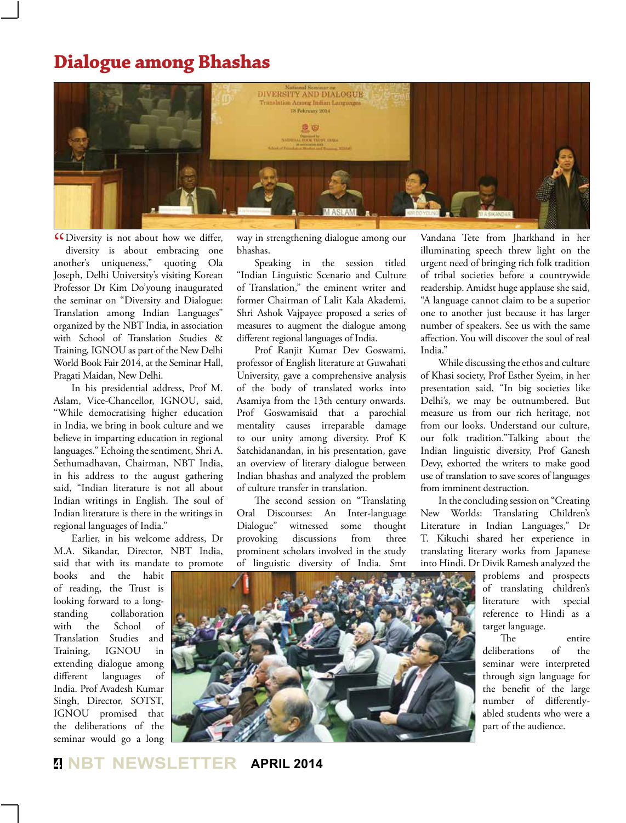## **Dialogue among Bhashas**



**CO** Diversity is not about how we differ, diversity is about embracing one diversity is about embracing one another's uniqueness," quoting Ola Joseph, Delhi University's visiting Korean Professor Dr Kim Do'young inaugurated the seminar on "Diversity and Dialogue: Translation among Indian Languages" organized by the NBT India, in association with School of Translation Studies & Training, IGNOU as part of the New Delhi World Book Fair 2014, at the Seminar Hall, Pragati Maidan, New Delhi.

In his presidential address, Prof M. Aslam, Vice-Chancellor, IGNOU, said, "While democratising higher education in India, we bring in book culture and we believe in imparting education in regional languages." Echoing the sentiment, Shri A. Sethumadhavan, Chairman, NBT India, in his address to the august gathering said, "Indian literature is not all about Indian writings in English. The soul of Indian literature is there in the writings in regional languages of India."

Earlier, in his welcome address, Dr M.A. Sikandar, Director, NBT India, said that with its mandate to promote

books and the habit of reading, the Trust is looking forward to a longstanding collaboration with the School of Translation Studies and Training, IGNOU in extending dialogue among different languages of India. Prof Avadesh Kumar Singh, Director, SOTST, IGNOU promised that the deliberations of the seminar would go a long

way in strengthening dialogue among our bhashas.

Speaking in the session titled "Indian Linguistic Scenario and Culture of Translation," the eminent writer and former Chairman of Lalit Kala Akademi, Shri Ashok Vajpayee proposed a series of measures to augment the dialogue among different regional languages of India.

Prof Ranjit Kumar Dev Goswami, professor of English literature at Guwahati University, gave a comprehensive analysis of the body of translated works into Asamiya from the 13th century onwards. Prof Goswamisaid that a parochial mentality causes irreparable damage to our unity among diversity. Prof K Satchidanandan, in his presentation, gave an overview of literary dialogue between Indian bhashas and analyzed the problem of culture transfer in translation.

The second session on "Translating Oral Discourses: An Inter-language Dialogue" witnessed some thought provoking discussions from three prominent scholars involved in the study of linguistic diversity of India. Smt

Vandana Tete from Jharkhand in her illuminating speech threw light on the urgent need of bringing rich folk tradition of tribal societies before a countrywide readership. Amidst huge applause she said, "A language cannot claim to be a superior one to another just because it has larger number of speakers. See us with the same affection. You will discover the soul of real India."

While discussing the ethos and culture of Khasi society, Prof Esther Syeim, in her presentation said, "In big societies like Delhi's, we may be outnumbered. But measure us from our rich heritage, not from our looks. Understand our culture, our folk tradition."Talking about the Indian linguistic diversity, Prof Ganesh Devy, exhorted the writers to make good use of translation to save scores of languages from imminent destruction.

In the concluding session on "Creating New Worlds: Translating Children's Literature in Indian Languages," Dr T. Kikuchi shared her experience in translating literary works from Japanese into Hindi. Dr Divik Ramesh analyzed the

> problems and prospects of translating children's literature with special reference to Hindi as a target language.

> The entire deliberations of the seminar were interpreted through sign language for the benefit of the large number of differentlyabled students who were a part of the audience.



**4 NBT NEWSLETTER APRIL 2014**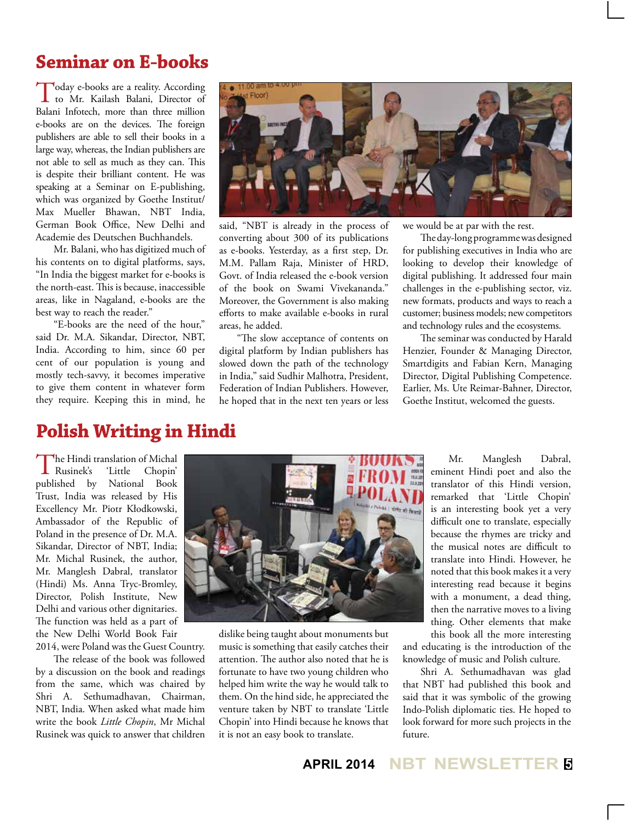#### **Seminar on E-books**

Today e-books are a reality. According to Mr. Kailash Balani, Director of Balani Infotech, more than three million e-books are on the devices. The foreign publishers are able to sell their books in a large way, whereas, the Indian publishers are not able to sell as much as they can. This is despite their brilliant content. He was speaking at a Seminar on E-publishing, which was organized by Goethe Institut/ Max Mueller Bhawan, NBT India, German Book Office, New Delhi and Academie des Deutschen Buchhandels.

Mr. Balani, who has digitized much of his contents on to digital platforms, says, "In India the biggest market for e-books is the north-east. This is because, inaccessible areas, like in Nagaland, e-books are the best way to reach the reader."

"E-books are the need of the hour," said Dr. M.A. Sikandar, Director, NBT, India. According to him, since 60 per cent of our population is young and mostly tech-savvy, it becomes imperative to give them content in whatever form they require. Keeping this in mind, he



said, "NBT is already in the process of converting about 300 of its publications as e-books. Yesterday, as a first step, Dr. M.M. Pallam Raja, Minister of HRD, Govt. of India released the e-book version of the book on Swami Vivekananda." Moreover, the Government is also making efforts to make available e-books in rural areas, he added.

"The slow acceptance of contents on digital platform by Indian publishers has slowed down the path of the technology in India," said Sudhir Malhotra, President, Federation of Indian Publishers. However, he hoped that in the next ten years or less we would be at par with the rest.

The day-long programme was designed for publishing executives in India who are looking to develop their knowledge of digital publishing. It addressed four main challenges in the e-publishing sector, viz. new formats, products and ways to reach a customer; business models; new competitors and technology rules and the ecosystems.

The seminar was conducted by Harald Henzier, Founder & Managing Director, Smartdigits and Fabian Kern, Managing Director, Digital Publishing Competence. Earlier, Ms. Ute Reimar-Bahner, Director, Goethe Institut, welcomed the guests.

#### **Polish Writing in Hindi**

The Hindi translation of Michal<br>Rusinek's 'Little Chopin' 'Little Chopin' published by National Book Trust, India was released by His Excellency Mr. Piotr Kłodkowski, Ambassador of the Republic of Poland in the presence of Dr. M.A. Sikandar, Director of NBT, India; Mr. Michal Rusinek, the author, Mr. Manglesh Dabral, translator (Hindi) Ms. Anna Tryc-Bromley, Director, Polish Institute, New Delhi and various other dignitaries. The function was held as a part of the New Delhi World Book Fair 2014, were Poland was the Guest Country.

The release of the book was followed by a discussion on the book and readings from the same, which was chaired by Shri A. Sethumadhavan, Chairman, NBT, India. When asked what made him write the book *Little Chopin*, Mr Michal Rusinek was quick to answer that children



dislike being taught about monuments but music is something that easily catches their attention. The author also noted that he is fortunate to have two young children who helped him write the way he would talk to them. On the hind side, he appreciated the venture taken by NBT to translate 'Little Chopin' into Hindi because he knows that it is not an easy book to translate.

Mr. Manglesh Dabral, eminent Hindi poet and also the translator of this Hindi version, remarked that 'Little Chopin' is an interesting book yet a very difficult one to translate, especially because the rhymes are tricky and the musical notes are difficult to translate into Hindi. However, he noted that this book makes it a very interesting read because it begins with a monument, a dead thing, then the narrative moves to a living thing. Other elements that make this book all the more interesting

and educating is the introduction of the knowledge of music and Polish culture.

Shri A. Sethumadhavan was glad that NBT had published this book and said that it was symbolic of the growing Indo-Polish diplomatic ties. He hoped to look forward for more such projects in the future.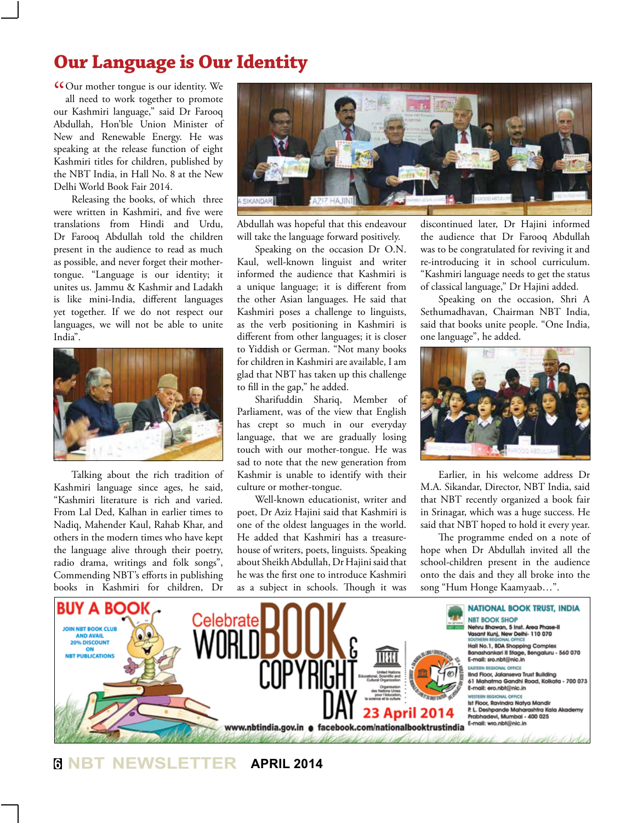# **Our Language is Our Identity**

COur mother tongue is our identity. We all need to work together to promote all need to work together to promote our Kashmiri language," said Dr Farooq Abdullah, Hon'ble Union Minister of New and Renewable Energy. He was speaking at the release function of eight Kashmiri titles for children, published by the NBT India, in Hall No. 8 at the New Delhi World Book Fair 2014.

Releasing the books, of which three were written in Kashmiri, and five were translations from Hindi and Urdu, Dr Farooq Abdullah told the children present in the audience to read as much as possible, and never forget their mothertongue. "Language is our identity; it unites us. Jammu & Kashmir and Ladakh is like mini-India, different languages yet together. If we do not respect our languages, we will not be able to unite India".



Talking about the rich tradition of Kashmiri language since ages, he said, "Kashmiri literature is rich and varied. From Lal Ded, Kalhan in earlier times to Nadiq, Mahender Kaul, Rahab Khar, and others in the modern times who have kept the language alive through their poetry, radio drama, writings and folk songs", Commending NBT's efforts in publishing books in Kashmiri for children, Dr



Abdullah was hopeful that this endeavour will take the language forward positively.

Speaking on the occasion Dr O.N. Kaul, well-known linguist and writer informed the audience that Kashmiri is a unique language; it is different from the other Asian languages. He said that Kashmiri poses a challenge to linguists, as the verb positioning in Kashmiri is different from other languages; it is closer to Yiddish or German. "Not many books for children in Kashmiri are available, I am glad that NBT has taken up this challenge to fill in the gap," he added.

Sharifuddin Shariq, Member of Parliament, was of the view that English has crept so much in our everyday language, that we are gradually losing touch with our mother-tongue. He was sad to note that the new generation from Kashmir is unable to identify with their culture or mother-tongue.

Well-known educationist, writer and poet, Dr Aziz Hajini said that Kashmiri is one of the oldest languages in the world. He added that Kashmiri has a treasurehouse of writers, poets, linguists. Speaking about Sheikh Abdullah, Dr Hajini said that he was the first one to introduce Kashmiri as a subject in schools. Though it was

discontinued later, Dr Hajini informed the audience that Dr Farooq Abdullah was to be congratulated for reviving it and re-introducing it in school curriculum. "Kashmiri language needs to get the status of classical language," Dr Hajini added.

Speaking on the occasion, Shri A Sethumadhavan, Chairman NBT India, said that books unite people. "One India, one language", he added.



Earlier, in his welcome address Dr M.A. Sikandar, Director, NBT India, said that NBT recently organized a book fair in Srinagar, which was a huge success. He said that NBT hoped to hold it every year.

The programme ended on a note of hope when Dr Abdullah invited all the school-children present in the audience onto the dais and they all broke into the song "Hum Honge Kaamyaab…".



**6 NBT NEWSLETTER APRIL 2014**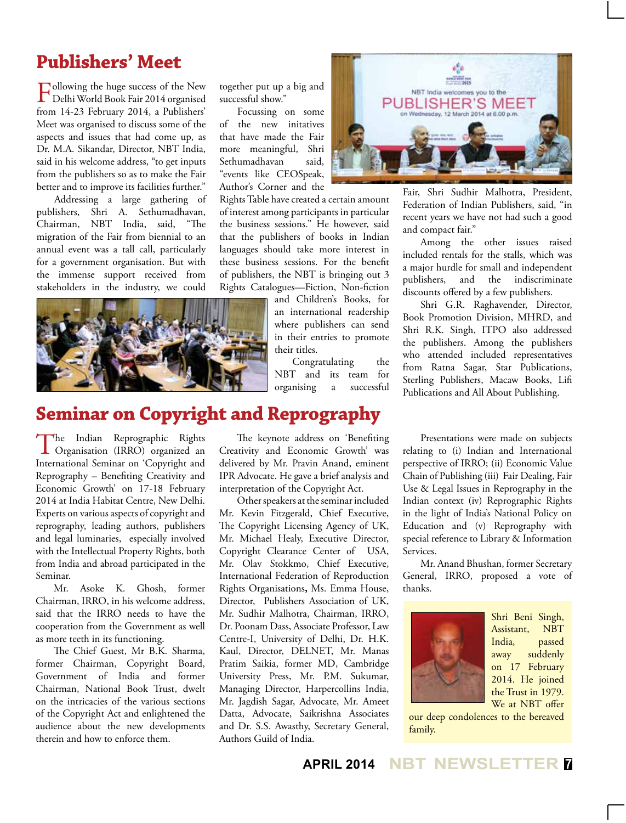## **Publishers' Meet**

Following the huge success of the New<br>Delhi World Book Fair 2014 organised from 14-23 February 2014, a Publishers' Meet was organised to discuss some of the aspects and issues that had come up, as Dr. M.A. Sikandar, Director, NBT India, said in his welcome address, "to get inputs from the publishers so as to make the Fair better and to improve its facilities further."

Addressing a large gathering of publishers, Shri A. Sethumadhavan, Chairman, NBT India, said, "The migration of the Fair from biennial to an annual event was a tall call, particularly for a government organisation. But with the immense support received from stakeholders in the industry, we could

together put up a big and successful show."

Focussing on some of the new initatives that have made the Fair more meaningful, Shri Sethumadhavan said, "events like CEOSpeak, Author's Corner and the

Rights Table have created a certain amount of interest among participants in particular the business sessions." He however, said that the publishers of books in Indian languages should take more interest in these business sessions. For the benefit of publishers, the NBT is bringing out 3 Rights Catalogues—Fiction, Non-fiction



and Children's Books, for an international readership where publishers can send in their entries to promote their titles.

Congratulating the NBT and its team for organising a successful



Fair, Shri Sudhir Malhotra, President, Federation of Indian Publishers, said, "in recent years we have not had such a good and compact fair."

Among the other issues raised included rentals for the stalls, which was a major hurdle for small and independent publishers, and the indiscriminate discounts offered by a few publishers.

Shri G.R. Raghavender, Director, Book Promotion Division, MHRD, and Shri R.K. Singh, ITPO also addressed the publishers. Among the publishers who attended included representatives from Ratna Sagar, Star Publications, Sterling Publishers, Macaw Books, Lifi Publications and All About Publishing.

# **Seminar on Copyright and Reprography**

The Indian Reprographic Rights Organisation (IRRO) organized an International Seminar on 'Copyright and Reprography – Benefiting Creativity and Economic Growth' on 17-18 February 2014 at India Habitat Centre, New Delhi. Experts on various aspects of copyright and reprography, leading authors, publishers and legal luminaries, especially involved with the Intellectual Property Rights, both from India and abroad participated in the Seminar.

Mr. Asoke K. Ghosh, former Chairman, IRRO, in his welcome address, said that the IRRO needs to have the cooperation from the Government as well as more teeth in its functioning.

The Chief Guest, Mr B.K. Sharma, former Chairman, Copyright Board, Government of India and former Chairman, National Book Trust, dwelt on the intricacies of the various sections of the Copyright Act and enlightened the audience about the new developments therein and how to enforce them.

The keynote address on 'Benefiting Creativity and Economic Growth' was delivered by Mr. Pravin Anand, eminent IPR Advocate. He gave a brief analysis and interpretation of the Copyright Act.

Other speakers at the seminar included Mr. Kevin Fitzgerald, Chief Executive, The Copyright Licensing Agency of UK, Mr. Michael Healy, Executive Director, Copyright Clearance Center of USA, Mr. Olav Stokkmo, Chief Executive, International Federation of Reproduction Rights Organisations**,** Ms. Emma House, Director, Publishers Association of UK, Mr. Sudhir Malhotra, Chairman, IRRO, Dr. Poonam Dass, Associate Professor, Law Centre-I, University of Delhi, Dr. H.K. Kaul, Director, DELNET, Mr. Manas Pratim Saikia, former MD, Cambridge University Press, Mr. P.M. Sukumar, Managing Director, Harpercollins India, Mr. Jagdish Sagar, Advocate, Mr. Ameet Datta, Advocate, Saikrishna Associates and Dr. S.S. Awasthy, Secretary General, Authors Guild of India.

Presentations were made on subjects relating to (i) Indian and International perspective of IRRO; (ii) Economic Value Chain of Publishing (iii) Fair Dealing, Fair Use & Legal Issues in Reprography in the Indian context (iv) Reprographic Rights in the light of India's National Policy on Education and (v) Reprography with special reference to Library & Information Services.

Mr. Anand Bhushan, former Secretary General, IRRO, proposed a vote of thanks.



Shri Beni Singh, Assistant, NBT India, passed away suddenly on 17 February 2014. He joined the Trust in 1979. We at NBT offer

our deep condolences to the bereaved family.